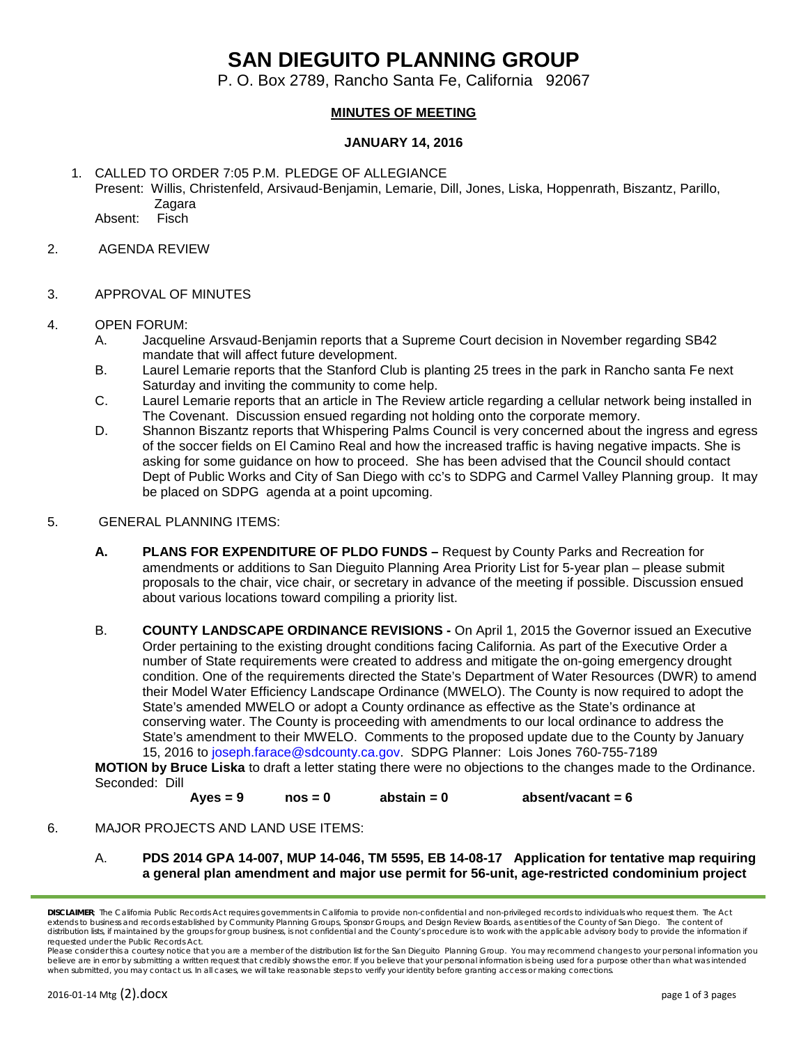## **SAN DIEGUITO PLANNING GROUP**

P. O. Box 2789, Rancho Santa Fe, California 92067

## **MINUTES OF MEETING**

## **JANUARY 14, 2016**

1. CALLED TO ORDER 7:05 P.M. PLEDGE OF ALLEGIANCE Present: Willis, Christenfeld, Arsivaud-Benjamin, Lemarie, Dill, Jones, Liska, Hoppenrath, Biszantz, Parillo, Zagara

Absent: Fisch

- 2. AGENDA REVIEW
- 3. APPROVAL OF MINUTES
- 4. OPEN FORUM:
	- A. Jacqueline Arsvaud-Benjamin reports that a Supreme Court decision in November regarding SB42 mandate that will affect future development.
	- B. Laurel Lemarie reports that the Stanford Club is planting 25 trees in the park in Rancho santa Fe next Saturday and inviting the community to come help.
	- C. Laurel Lemarie reports that an article in The Review article regarding a cellular network being installed in The Covenant. Discussion ensued regarding not holding onto the corporate memory.
	- D. Shannon Biszantz reports that Whispering Palms Council is very concerned about the ingress and egress of the soccer fields on El Camino Real and how the increased traffic is having negative impacts. She is asking for some guidance on how to proceed. She has been advised that the Council should contact Dept of Public Works and City of San Diego with cc's to SDPG and Carmel Valley Planning group. It may be placed on SDPG agenda at a point upcoming.
- 5. GENERAL PLANNING ITEMS:
	- **A. PLANS FOR EXPENDITURE OF PLDO FUNDS –** Request by County Parks and Recreation for amendments or additions to San Dieguito Planning Area Priority List for 5-year plan – please submit proposals to the chair, vice chair, or secretary in advance of the meeting if possible. Discussion ensued about various locations toward compiling a priority list.
	- B. **COUNTY LANDSCAPE ORDINANCE REVISIONS -** On April 1, 2015 the Governor issued an Executive Order pertaining to the existing drought conditions facing California. As part of the Executive Order a number of State requirements were created to address and mitigate the on-going emergency drought condition. One of the requirements directed the State's Department of Water Resources (DWR) to amend their Model Water Efficiency Landscape Ordinance (MWELO). The County is now required to adopt the State's amended MWELO or adopt a County ordinance as effective as the State's ordinance at conserving water. The County is proceeding with amendments to our local ordinance to address the State's amendment to their MWELO. Comments to the proposed update due to the County by January 15, 2016 to [joseph.farace@sdcounty.ca.gov.](mailto:joseph.farace@sdcounty.ca.gov) SDPG Planner: Lois Jones 760-755-7189

**MOTION by Bruce Liska** to draft a letter stating there were no objections to the changes made to the Ordinance. Seconded: Dill

**Ayes = 9 nos = 0 abstain = 0 absent/vacant = 6**

6. MAJOR PROJECTS AND LAND USE ITEMS:

A. **PDS 2014 GPA 14-007, MUP 14-046, TM 5595, EB 14-08-17 Application for tentative map requiring a general plan amendment and major use permit for 56-unit, age-restricted condominium project** 

*DISCLAIMER; The California Public Records Act requires governments in California to provide non-confidential and non-privileged records to individuals who request them. The Act*  extends to business and records established by Community Planning Groups, Sponsor Groups, and Design Review Boards, as entities of the County of San Diego. The content of distribution lists, if maintained by the groups for group business, is not confidential and the County's procedure is to work with the applicable advisory body to provide the information if *requested under the Public Records Act.*

*Please consider this a courtesy notice that you are a member of the distribution list for the San Dieguito Planning Group. You may recommend changes to your personal information you*  believe are in error by submitting a written request that credibly shows the error. If you believe that your personal information is being used for a purpose other than what was intended *when submitted, you may contact us. In all cases, we will take reasonable steps to verify your identity before granting access or making corrections.*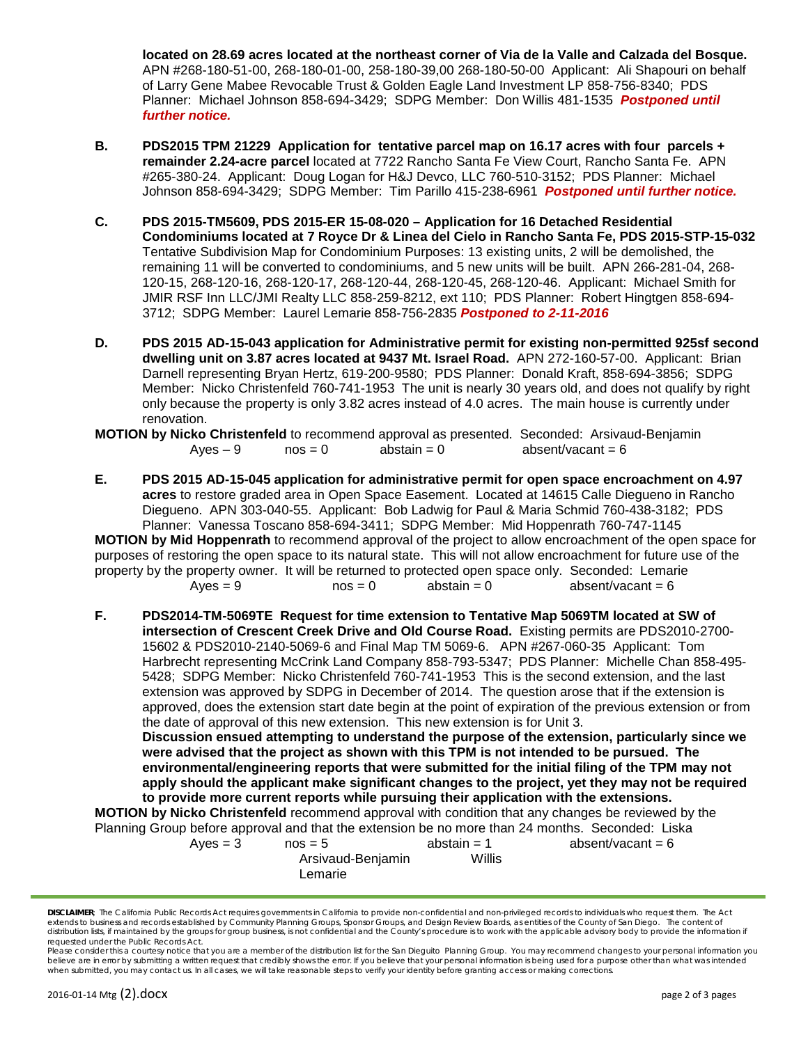**located on 28.69 acres located at the northeast corner of Via de la Valle and Calzada del Bosque.**  APN #268-180-51-00, 268-180-01-00, 258-180-39,00 268-180-50-00 Applicant: Ali Shapouri on behalf of Larry Gene Mabee Revocable Trust & Golden Eagle Land Investment LP 858-756-8340; PDS Planner: Michael Johnson 858-694-3429; SDPG Member: Don Willis 481-1535 *Postponed until further notice.*

- **B. PDS2015 TPM 21229 Application for tentative parcel map on 16.17 acres with four parcels + remainder 2.24-acre parcel** located at 7722 Rancho Santa Fe View Court, Rancho Santa Fe. APN #265-380-24. Applicant: Doug Logan for H&J Devco, LLC 760-510-3152; PDS Planner: Michael Johnson 858-694-3429; SDPG Member: Tim Parillo 415-238-6961 *Postponed until further notice.*
- **C. PDS 2015-TM5609, PDS 2015-ER 15-08-020 – Application for 16 Detached Residential Condominiums located at 7 Royce Dr & Linea del Cielo in Rancho Santa Fe, PDS 2015-STP-15-032**  Tentative Subdivision Map for Condominium Purposes: 13 existing units, 2 will be demolished, the remaining 11 will be converted to condominiums, and 5 new units will be built. APN 266-281-04, 268- 120-15, 268-120-16, 268-120-17, 268-120-44, 268-120-45, 268-120-46. Applicant: Michael Smith for JMIR RSF Inn LLC/JMI Realty LLC 858-259-8212, ext 110; PDS Planner: Robert Hingtgen 858-694- 3712; SDPG Member: Laurel Lemarie 858-756-2835 *Postponed to 2-11-2016*
- **D. PDS 2015 AD-15-043 application for Administrative permit for existing non-permitted 925sf second dwelling unit on 3.87 acres located at 9437 Mt. Israel Road.** APN 272-160-57-00. Applicant: Brian Darnell representing Bryan Hertz, 619-200-9580; PDS Planner: Donald Kraft, 858-694-3856; SDPG Member: Nicko Christenfeld 760-741-1953 The unit is nearly 30 years old, and does not qualify by right only because the property is only 3.82 acres instead of 4.0 acres. The main house is currently under renovation.

**MOTION by Nicko Christenfeld** to recommend approval as presented. Seconded: Arsivaud-Benjamin<br>Ayes – 9 mos = 0 abstain = 0 absent/vacant = 6  $n \text{cos} = 0$  abstain = 0 absent/vacant = 6

**E. PDS 2015 AD-15-045 application for administrative permit for open space encroachment on 4.97 acres** to restore graded area in Open Space Easement. Located at 14615 Calle Diegueno in Rancho Diegueno. APN 303-040-55. Applicant: Bob Ladwig for Paul & Maria Schmid 760-438-3182; PDS Planner: Vanessa Toscano 858-694-3411; SDPG Member: Mid Hoppenrath 760-747-1145 **MOTION by Mid Hoppenrath** to recommend approval of the project to allow encroachment of the open space for

purposes of restoring the open space to its natural state. This will not allow encroachment for future use of the property by the property owner. It will be returned to protected open space only. Seconded: Lemarie<br>nos = 0 <br>absent/vacant = 6 <br>absent/vacant = 6 absent/vacant  $= 6$ 

**F. PDS2014-TM-5069TE Request for time extension to Tentative Map 5069TM located at SW of intersection of Crescent Creek Drive and Old Course Road.** Existing permits are PDS2010-2700- 15602 & PDS2010-2140-5069-6 and Final Map TM 5069-6. APN #267-060-35 Applicant: Tom Harbrecht representing McCrink Land Company 858-793-5347; PDS Planner: Michelle Chan 858-495- 5428; SDPG Member: Nicko Christenfeld 760-741-1953 This is the second extension, and the last extension was approved by SDPG in December of 2014. The question arose that if the extension is approved, does the extension start date begin at the point of expiration of the previous extension or from the date of approval of this new extension. This new extension is for Unit 3. **Discussion ensued attempting to understand the purpose of the extension, particularly since we** 

**were advised that the project as shown with this TPM is not intended to be pursued. The environmental/engineering reports that were submitted for the initial filing of the TPM may not apply should the applicant make significant changes to the project, yet they may not be required to provide more current reports while pursuing their application with the extensions.**

**MOTION by Nicko Christenfeld** recommend approval with condition that any changes be reviewed by the Planning Group before approval and that the extension be no more than 24 months. Seconded: Liska

| Aves = 3 | $nos = 5$         | abstain $=$ 1 | absent/vacant = $6$ |
|----------|-------------------|---------------|---------------------|
|          | Arsivaud-Benjamin | Willis        |                     |
|          | Lemarie           |               |                     |

*DISCLAIMER; The California Public Records Act requires governments in California to provide non-confidential and non-privileged records to individuals who request them. The Act*  extends to business and records established by Community Planning Groups, Sponsor Groups, and Design Review Boards, as entities of the County of San Diego. The content of distribution lists, if maintained by the groups for group business, is not confidential and the County's procedure is to work with the applicable advisory body to provide the information if *requested under the Public Records Act.*

*Please consider this a courtesy notice that you are a member of the distribution list for the San Dieguito Planning Group. You may recommend changes to your personal information you*  believe are in error by submitting a written request that credibly shows the error. If you believe that your personal information is being used for a purpose other than what was intended *when submitted, you may contact us. In all cases, we will take reasonable steps to verify your identity before granting access or making corrections.*